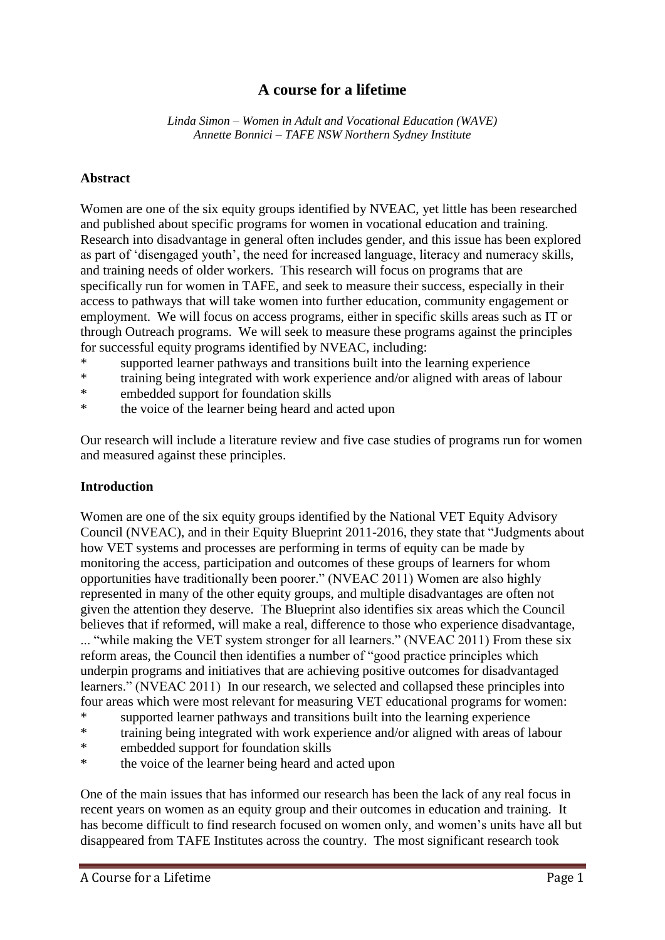# **A course for a lifetime**

*Linda Simon – Women in Adult and Vocational Education (WAVE) Annette Bonnici – TAFE NSW Northern Sydney Institute*

#### **Abstract**

Women are one of the six equity groups identified by NVEAC, yet little has been researched and published about specific programs for women in vocational education and training. Research into disadvantage in general often includes gender, and this issue has been explored as part of 'disengaged youth', the need for increased language, literacy and numeracy skills, and training needs of older workers. This research will focus on programs that are specifically run for women in TAFE, and seek to measure their success, especially in their access to pathways that will take women into further education, community engagement or employment. We will focus on access programs, either in specific skills areas such as IT or through Outreach programs. We will seek to measure these programs against the principles for successful equity programs identified by NVEAC, including:

- supported learner pathways and transitions built into the learning experience
- \* training being integrated with work experience and/or aligned with areas of labour
- \* embedded support for foundation skills
- \* the voice of the learner being heard and acted upon

Our research will include a literature review and five case studies of programs run for women and measured against these principles.

### **Introduction**

Women are one of the six equity groups identified by the National VET Equity Advisory Council (NVEAC), and in their Equity Blueprint 2011-2016, they state that "Judgments about how VET systems and processes are performing in terms of equity can be made by monitoring the access, participation and outcomes of these groups of learners for whom opportunities have traditionally been poorer." (NVEAC 2011) Women are also highly represented in many of the other equity groups, and multiple disadvantages are often not given the attention they deserve. The Blueprint also identifies six areas which the Council believes that if reformed, will make a real, difference to those who experience disadvantage, ... "while making the VET system stronger for all learners." (NVEAC 2011) From these six reform areas, the Council then identifies a number of "good practice principles which underpin programs and initiatives that are achieving positive outcomes for disadvantaged learners." (NVEAC 2011) In our research, we selected and collapsed these principles into four areas which were most relevant for measuring VET educational programs for women:

- \* supported learner pathways and transitions built into the learning experience<br>\* training being integrated with work experience and/or aligned with areas of l
- training being integrated with work experience and/or aligned with areas of labour
- \* embedded support for foundation skills
- \* the voice of the learner being heard and acted upon

One of the main issues that has informed our research has been the lack of any real focus in recent years on women as an equity group and their outcomes in education and training. It has become difficult to find research focused on women only, and women's units have all but disappeared from TAFE Institutes across the country. The most significant research took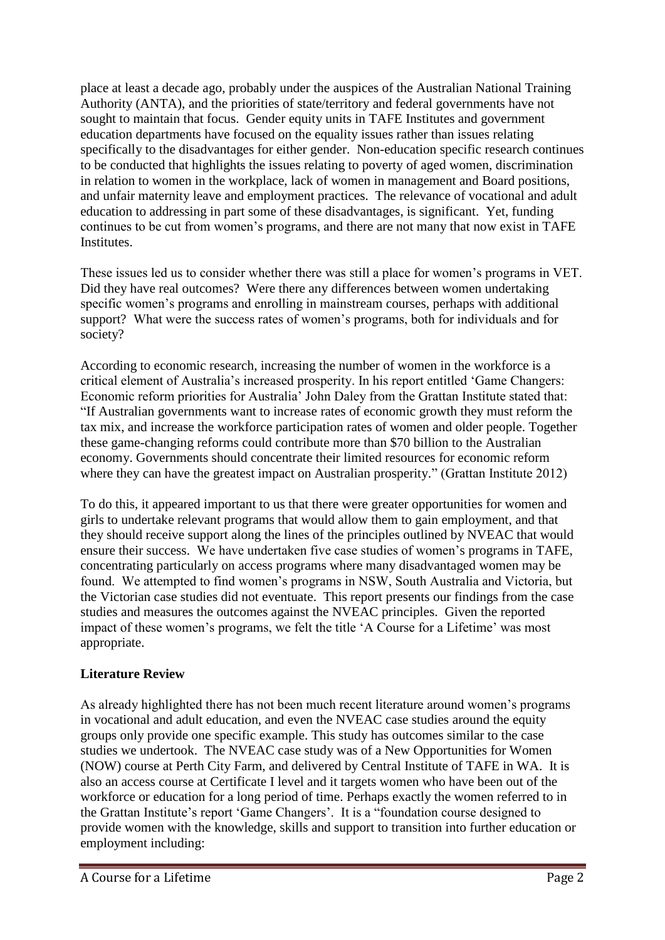place at least a decade ago, probably under the auspices of the Australian National Training Authority (ANTA), and the priorities of state/territory and federal governments have not sought to maintain that focus. Gender equity units in TAFE Institutes and government education departments have focused on the equality issues rather than issues relating specifically to the disadvantages for either gender. Non-education specific research continues to be conducted that highlights the issues relating to poverty of aged women, discrimination in relation to women in the workplace, lack of women in management and Board positions, and unfair maternity leave and employment practices. The relevance of vocational and adult education to addressing in part some of these disadvantages, is significant. Yet, funding continues to be cut from women's programs, and there are not many that now exist in TAFE Institutes.

These issues led us to consider whether there was still a place for women's programs in VET. Did they have real outcomes? Were there any differences between women undertaking specific women's programs and enrolling in mainstream courses, perhaps with additional support? What were the success rates of women's programs, both for individuals and for society?

According to economic research, increasing the number of women in the workforce is a critical element of Australia's increased prosperity. In his report entitled 'Game Changers: Economic reform priorities for Australia' John Daley from the Grattan Institute stated that: "If Australian governments want to increase rates of economic growth they must reform the tax mix, and increase the workforce participation rates of women and older people. Together these game-changing reforms could contribute more than \$70 billion to the Australian economy. Governments should concentrate their limited resources for economic reform where they can have the greatest impact on Australian prosperity." (Grattan Institute 2012)

To do this, it appeared important to us that there were greater opportunities for women and girls to undertake relevant programs that would allow them to gain employment, and that they should receive support along the lines of the principles outlined by NVEAC that would ensure their success. We have undertaken five case studies of women's programs in TAFE, concentrating particularly on access programs where many disadvantaged women may be found. We attempted to find women's programs in NSW, South Australia and Victoria, but the Victorian case studies did not eventuate. This report presents our findings from the case studies and measures the outcomes against the NVEAC principles. Given the reported impact of these women's programs, we felt the title 'A Course for a Lifetime' was most appropriate.

## **Literature Review**

As already highlighted there has not been much recent literature around women's programs in vocational and adult education, and even the NVEAC case studies around the equity groups only provide one specific example. This study has outcomes similar to the case studies we undertook. The NVEAC case study was of a New Opportunities for Women (NOW) course at Perth City Farm, and delivered by Central Institute of TAFE in WA. It is also an access course at Certificate I level and it targets women who have been out of the workforce or education for a long period of time. Perhaps exactly the women referred to in the Grattan Institute's report 'Game Changers'. It is a "foundation course designed to provide women with the knowledge, skills and support to transition into further education or employment including: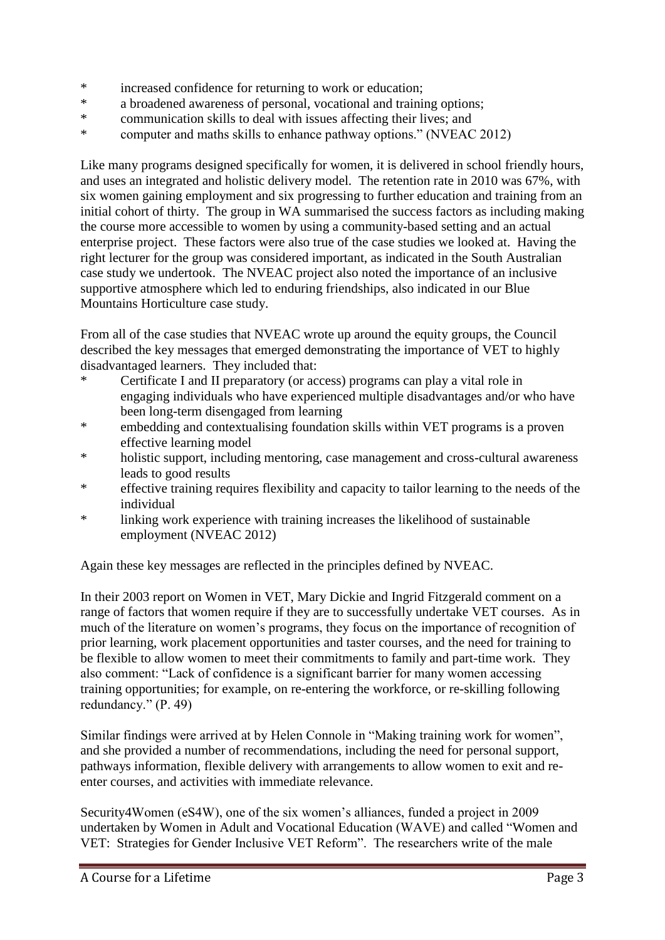- \* increased confidence for returning to work or education;
- \* a broadened awareness of personal, vocational and training options;<br>\* communication skills to dool with issues effecting their lives: and
- communication skills to deal with issues affecting their lives; and
- \* computer and maths skills to enhance pathway options." (NVEAC 2012)

Like many programs designed specifically for women, it is delivered in school friendly hours, and uses an integrated and holistic delivery model. The retention rate in 2010 was 67%, with six women gaining employment and six progressing to further education and training from an initial cohort of thirty. The group in WA summarised the success factors as including making the course more accessible to women by using a community-based setting and an actual enterprise project. These factors were also true of the case studies we looked at. Having the right lecturer for the group was considered important, as indicated in the South Australian case study we undertook. The NVEAC project also noted the importance of an inclusive supportive atmosphere which led to enduring friendships, also indicated in our Blue Mountains Horticulture case study.

From all of the case studies that NVEAC wrote up around the equity groups, the Council described the key messages that emerged demonstrating the importance of VET to highly disadvantaged learners. They included that:

- \* Certificate I and II preparatory (or access) programs can play a vital role in engaging individuals who have experienced multiple disadvantages and/or who have been long-term disengaged from learning
- \* embedding and contextualising foundation skills within VET programs is a proven effective learning model
- \* holistic support, including mentoring, case management and cross-cultural awareness leads to good results
- \* effective training requires flexibility and capacity to tailor learning to the needs of the individual
- linking work experience with training increases the likelihood of sustainable employment (NVEAC 2012)

Again these key messages are reflected in the principles defined by NVEAC.

In their 2003 report on Women in VET, Mary Dickie and Ingrid Fitzgerald comment on a range of factors that women require if they are to successfully undertake VET courses. As in much of the literature on women's programs, they focus on the importance of recognition of prior learning, work placement opportunities and taster courses, and the need for training to be flexible to allow women to meet their commitments to family and part-time work. They also comment: "Lack of confidence is a significant barrier for many women accessing training opportunities; for example, on re-entering the workforce, or re-skilling following redundancy." (P. 49)

Similar findings were arrived at by Helen Connole in "Making training work for women", and she provided a number of recommendations, including the need for personal support, pathways information, flexible delivery with arrangements to allow women to exit and reenter courses, and activities with immediate relevance.

Security4Women (eS4W), one of the six women's alliances, funded a project in 2009 undertaken by Women in Adult and Vocational Education (WAVE) and called "Women and VET: Strategies for Gender Inclusive VET Reform". The researchers write of the male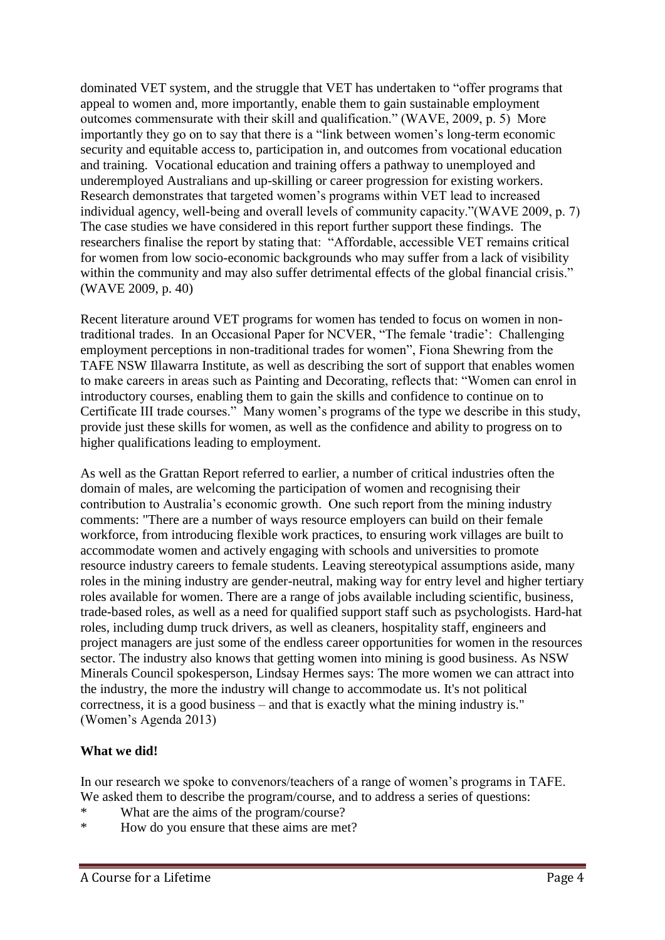dominated VET system, and the struggle that VET has undertaken to "offer programs that appeal to women and, more importantly, enable them to gain sustainable employment outcomes commensurate with their skill and qualification." (WAVE, 2009, p. 5) More importantly they go on to say that there is a "link between women's long-term economic security and equitable access to, participation in, and outcomes from vocational education and training. Vocational education and training offers a pathway to unemployed and underemployed Australians and up-skilling or career progression for existing workers. Research demonstrates that targeted women's programs within VET lead to increased individual agency, well-being and overall levels of community capacity."(WAVE 2009, p. 7) The case studies we have considered in this report further support these findings. The researchers finalise the report by stating that: "Affordable, accessible VET remains critical for women from low socio-economic backgrounds who may suffer from a lack of visibility within the community and may also suffer detrimental effects of the global financial crisis." (WAVE 2009, p. 40)

Recent literature around VET programs for women has tended to focus on women in nontraditional trades. In an Occasional Paper for NCVER, "The female 'tradie': Challenging employment perceptions in non-traditional trades for women", Fiona Shewring from the TAFE NSW Illawarra Institute, as well as describing the sort of support that enables women to make careers in areas such as Painting and Decorating, reflects that: "Women can enrol in introductory courses, enabling them to gain the skills and confidence to continue on to Certificate III trade courses." Many women's programs of the type we describe in this study, provide just these skills for women, as well as the confidence and ability to progress on to higher qualifications leading to employment.

As well as the Grattan Report referred to earlier, a number of critical industries often the domain of males, are welcoming the participation of women and recognising their contribution to Australia's economic growth. One such report from the mining industry comments: "There are a number of ways resource employers can build on their female workforce, from introducing flexible work practices, to ensuring work villages are built to accommodate women and actively engaging with schools and universities to promote resource industry careers to female students. Leaving stereotypical assumptions aside, many roles in the mining industry are gender-neutral, making way for entry level and higher tertiary roles available for women. There are a range of jobs available including scientific, business, trade-based roles, as well as a need for qualified support staff such as psychologists. Hard-hat roles, including dump truck drivers, as well as cleaners, hospitality staff, engineers and project managers are just some of the endless career opportunities for women in the resources sector. The industry also knows that getting women into mining is good business. As NSW Minerals Council spokesperson, Lindsay Hermes says: The more women we can attract into the industry, the more the industry will change to accommodate us. It's not political correctness, it is a good business – and that is exactly what the mining industry is." (Women's Agenda 2013)

### **What we did!**

In our research we spoke to convenors/teachers of a range of women's programs in TAFE. We asked them to describe the program/course, and to address a series of questions:

- \* What are the aims of the program/course?
- \* How do you ensure that these aims are met?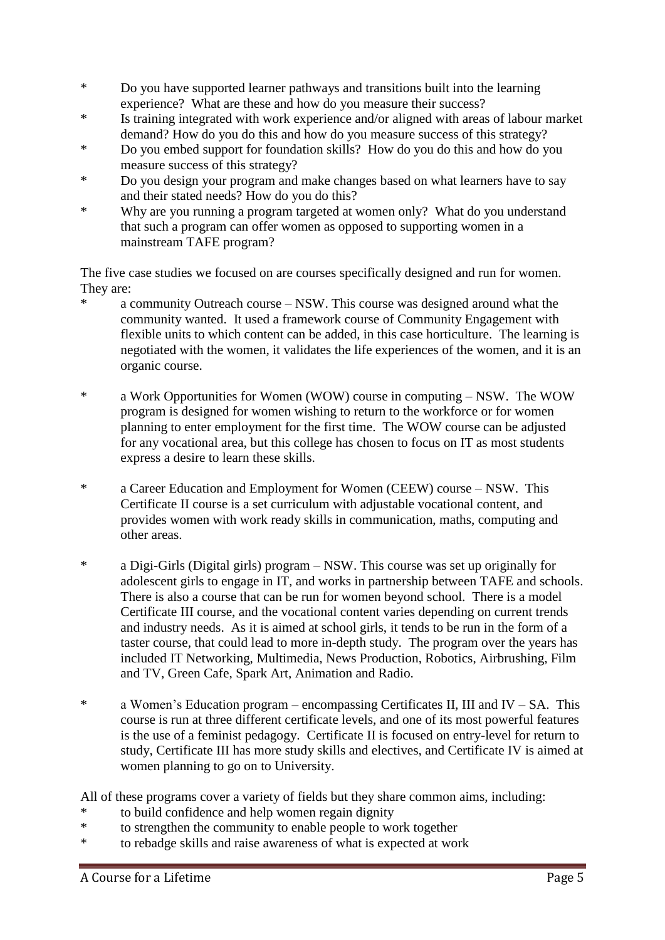- \* Do you have supported learner pathways and transitions built into the learning experience? What are these and how do you measure their success?
- \* Is training integrated with work experience and/or aligned with areas of labour market demand? How do you do this and how do you measure success of this strategy?
- \* Do you embed support for foundation skills? How do you do this and how do you measure success of this strategy?
- \* Do you design your program and make changes based on what learners have to say and their stated needs? How do you do this?
- \* Why are you running a program targeted at women only? What do you understand that such a program can offer women as opposed to supporting women in a mainstream TAFE program?

The five case studies we focused on are courses specifically designed and run for women. They are:

- \* a community Outreach course NSW. This course was designed around what the community wanted. It used a framework course of Community Engagement with flexible units to which content can be added, in this case horticulture. The learning is negotiated with the women, it validates the life experiences of the women, and it is an organic course.
- \* a Work Opportunities for Women (WOW) course in computing NSW. The WOW program is designed for women wishing to return to the workforce or for women planning to enter employment for the first time. The WOW course can be adjusted for any vocational area, but this college has chosen to focus on IT as most students express a desire to learn these skills.
- \* a Career Education and Employment for Women (CEEW) course NSW. This Certificate II course is a set curriculum with adjustable vocational content, and provides women with work ready skills in communication, maths, computing and other areas.
- \* a Digi-Girls (Digital girls) program NSW. This course was set up originally for adolescent girls to engage in IT, and works in partnership between TAFE and schools. There is also a course that can be run for women beyond school. There is a model Certificate III course, and the vocational content varies depending on current trends and industry needs. As it is aimed at school girls, it tends to be run in the form of a taster course, that could lead to more in-depth study. The program over the years has included IT Networking, Multimedia, News Production, Robotics, Airbrushing, Film and TV, Green Cafe, Spark Art, Animation and Radio.
- \* a Women's Education program encompassing Certificates II, III and IV SA. This course is run at three different certificate levels, and one of its most powerful features is the use of a feminist pedagogy. Certificate II is focused on entry-level for return to study, Certificate III has more study skills and electives, and Certificate IV is aimed at women planning to go on to University.

All of these programs cover a variety of fields but they share common aims, including:

- \* to build confidence and help women regain dignity<br>\* to strengthen the community to enable people to we
- to strengthen the community to enable people to work together
- \* to rebadge skills and raise awareness of what is expected at work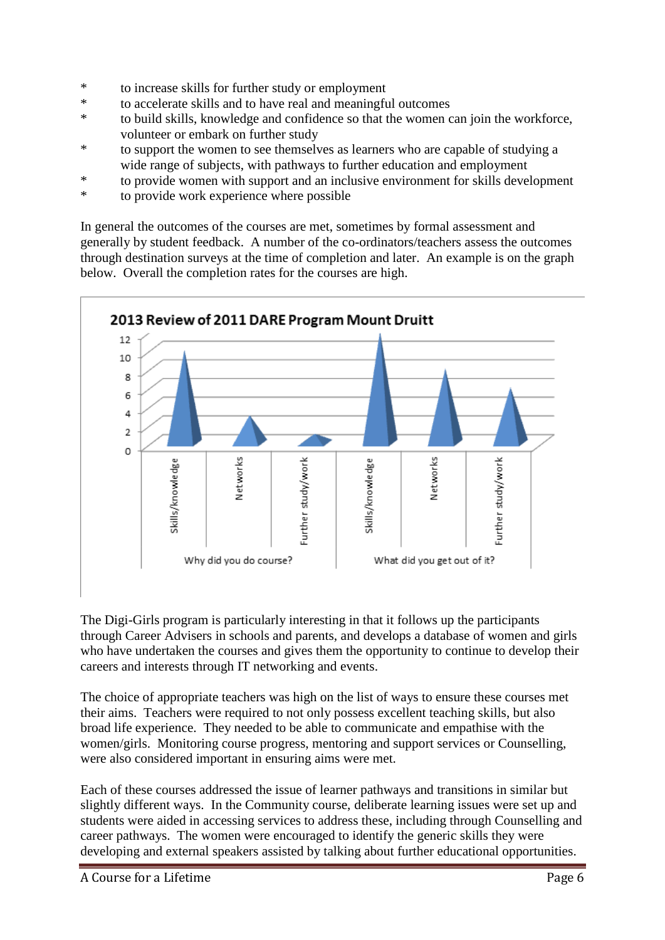- \* to increase skills for further study or employment
- \* to accelerate skills and to have real and meaningful outcomes<br>\* to huild skills, knowledge and confidence so that the women
- to build skills, knowledge and confidence so that the women can join the workforce, volunteer or embark on further study
- \* to support the women to see themselves as learners who are capable of studying a wide range of subjects, with pathways to further education and employment
- \* to provide women with support and an inclusive environment for skills development
- \* to provide work experience where possible

In general the outcomes of the courses are met, sometimes by formal assessment and generally by student feedback. A number of the co-ordinators/teachers assess the outcomes through destination surveys at the time of completion and later. An example is on the graph below. Overall the completion rates for the courses are high.



The Digi-Girls program is particularly interesting in that it follows up the participants through Career Advisers in schools and parents, and develops a database of women and girls who have undertaken the courses and gives them the opportunity to continue to develop their careers and interests through IT networking and events.

The choice of appropriate teachers was high on the list of ways to ensure these courses met their aims. Teachers were required to not only possess excellent teaching skills, but also broad life experience. They needed to be able to communicate and empathise with the women/girls. Monitoring course progress, mentoring and support services or Counselling, were also considered important in ensuring aims were met.

Each of these courses addressed the issue of learner pathways and transitions in similar but slightly different ways. In the Community course, deliberate learning issues were set up and students were aided in accessing services to address these, including through Counselling and career pathways. The women were encouraged to identify the generic skills they were developing and external speakers assisted by talking about further educational opportunities.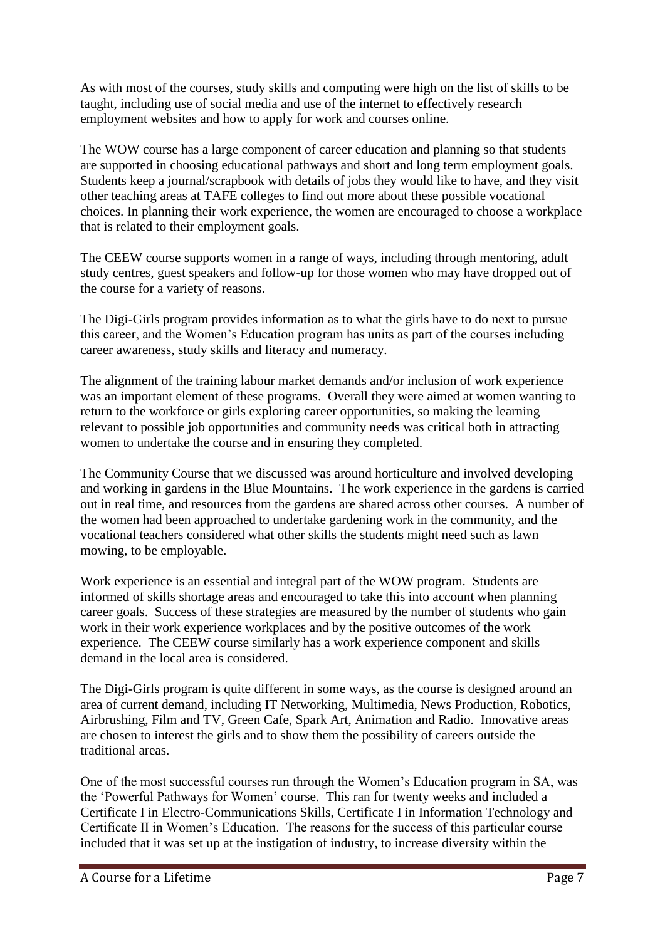As with most of the courses, study skills and computing were high on the list of skills to be taught, including use of social media and use of the internet to effectively research employment websites and how to apply for work and courses online.

The WOW course has a large component of career education and planning so that students are supported in choosing educational pathways and short and long term employment goals. Students keep a journal/scrapbook with details of jobs they would like to have, and they visit other teaching areas at TAFE colleges to find out more about these possible vocational choices. In planning their work experience, the women are encouraged to choose a workplace that is related to their employment goals.

The CEEW course supports women in a range of ways, including through mentoring, adult study centres, guest speakers and follow-up for those women who may have dropped out of the course for a variety of reasons.

The Digi-Girls program provides information as to what the girls have to do next to pursue this career, and the Women's Education program has units as part of the courses including career awareness, study skills and literacy and numeracy.

The alignment of the training labour market demands and/or inclusion of work experience was an important element of these programs. Overall they were aimed at women wanting to return to the workforce or girls exploring career opportunities, so making the learning relevant to possible job opportunities and community needs was critical both in attracting women to undertake the course and in ensuring they completed.

The Community Course that we discussed was around horticulture and involved developing and working in gardens in the Blue Mountains. The work experience in the gardens is carried out in real time, and resources from the gardens are shared across other courses. A number of the women had been approached to undertake gardening work in the community, and the vocational teachers considered what other skills the students might need such as lawn mowing, to be employable.

Work experience is an essential and integral part of the WOW program. Students are informed of skills shortage areas and encouraged to take this into account when planning career goals. Success of these strategies are measured by the number of students who gain work in their work experience workplaces and by the positive outcomes of the work experience. The CEEW course similarly has a work experience component and skills demand in the local area is considered.

The Digi-Girls program is quite different in some ways, as the course is designed around an area of current demand, including IT Networking, Multimedia, News Production, Robotics, Airbrushing, Film and TV, Green Cafe, Spark Art, Animation and Radio. Innovative areas are chosen to interest the girls and to show them the possibility of careers outside the traditional areas.

One of the most successful courses run through the Women's Education program in SA, was the 'Powerful Pathways for Women' course. This ran for twenty weeks and included a Certificate I in Electro-Communications Skills, Certificate I in Information Technology and Certificate II in Women's Education. The reasons for the success of this particular course included that it was set up at the instigation of industry, to increase diversity within the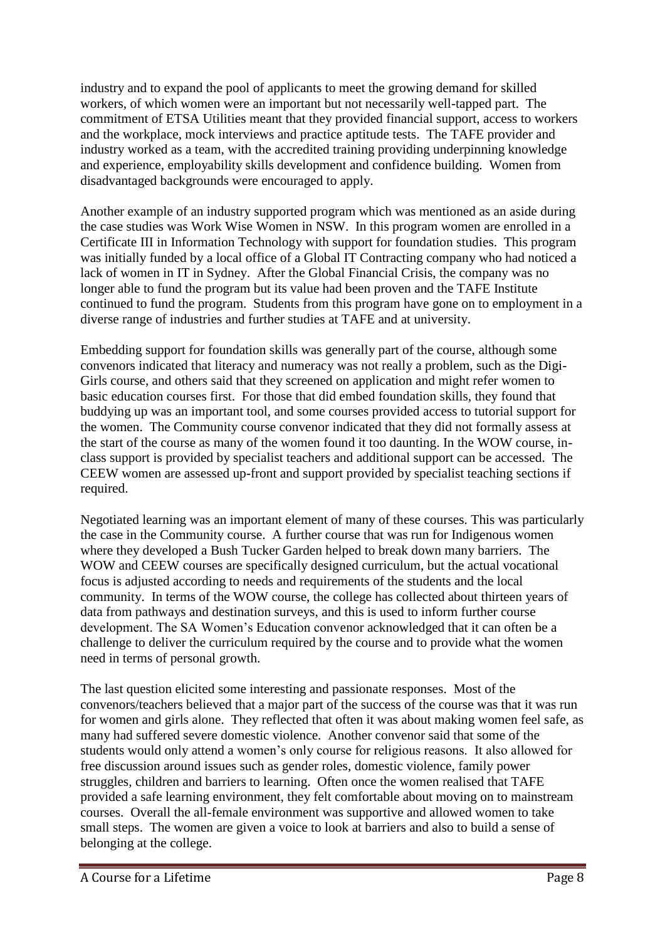industry and to expand the pool of applicants to meet the growing demand for skilled workers, of which women were an important but not necessarily well-tapped part. The commitment of ETSA Utilities meant that they provided financial support, access to workers and the workplace, mock interviews and practice aptitude tests. The TAFE provider and industry worked as a team, with the accredited training providing underpinning knowledge and experience, employability skills development and confidence building. Women from disadvantaged backgrounds were encouraged to apply.

Another example of an industry supported program which was mentioned as an aside during the case studies was Work Wise Women in NSW. In this program women are enrolled in a Certificate III in Information Technology with support for foundation studies. This program was initially funded by a local office of a Global IT Contracting company who had noticed a lack of women in IT in Sydney. After the Global Financial Crisis, the company was no longer able to fund the program but its value had been proven and the TAFE Institute continued to fund the program. Students from this program have gone on to employment in a diverse range of industries and further studies at TAFE and at university.

Embedding support for foundation skills was generally part of the course, although some convenors indicated that literacy and numeracy was not really a problem, such as the Digi-Girls course, and others said that they screened on application and might refer women to basic education courses first. For those that did embed foundation skills, they found that buddying up was an important tool, and some courses provided access to tutorial support for the women. The Community course convenor indicated that they did not formally assess at the start of the course as many of the women found it too daunting. In the WOW course, inclass support is provided by specialist teachers and additional support can be accessed. The CEEW women are assessed up-front and support provided by specialist teaching sections if required.

Negotiated learning was an important element of many of these courses. This was particularly the case in the Community course. A further course that was run for Indigenous women where they developed a Bush Tucker Garden helped to break down many barriers. The WOW and CEEW courses are specifically designed curriculum, but the actual vocational focus is adjusted according to needs and requirements of the students and the local community. In terms of the WOW course, the college has collected about thirteen years of data from pathways and destination surveys, and this is used to inform further course development. The SA Women's Education convenor acknowledged that it can often be a challenge to deliver the curriculum required by the course and to provide what the women need in terms of personal growth.

The last question elicited some interesting and passionate responses. Most of the convenors/teachers believed that a major part of the success of the course was that it was run for women and girls alone. They reflected that often it was about making women feel safe, as many had suffered severe domestic violence. Another convenor said that some of the students would only attend a women's only course for religious reasons. It also allowed for free discussion around issues such as gender roles, domestic violence, family power struggles, children and barriers to learning. Often once the women realised that TAFE provided a safe learning environment, they felt comfortable about moving on to mainstream courses. Overall the all-female environment was supportive and allowed women to take small steps. The women are given a voice to look at barriers and also to build a sense of belonging at the college.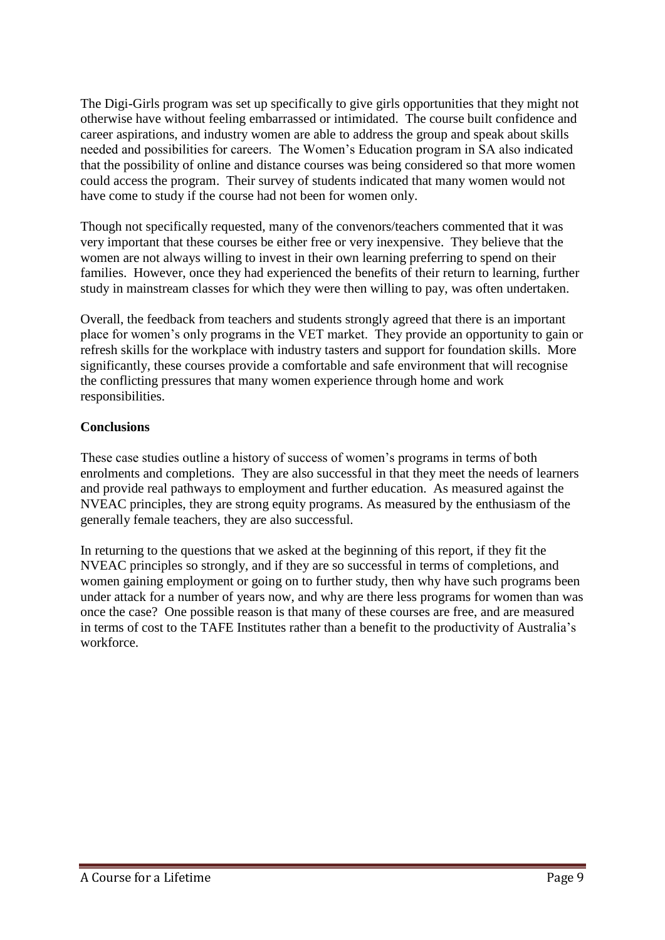The Digi-Girls program was set up specifically to give girls opportunities that they might not otherwise have without feeling embarrassed or intimidated. The course built confidence and career aspirations, and industry women are able to address the group and speak about skills needed and possibilities for careers. The Women's Education program in SA also indicated that the possibility of online and distance courses was being considered so that more women could access the program. Their survey of students indicated that many women would not have come to study if the course had not been for women only.

Though not specifically requested, many of the convenors/teachers commented that it was very important that these courses be either free or very inexpensive. They believe that the women are not always willing to invest in their own learning preferring to spend on their families. However, once they had experienced the benefits of their return to learning, further study in mainstream classes for which they were then willing to pay, was often undertaken.

Overall, the feedback from teachers and students strongly agreed that there is an important place for women's only programs in the VET market. They provide an opportunity to gain or refresh skills for the workplace with industry tasters and support for foundation skills. More significantly, these courses provide a comfortable and safe environment that will recognise the conflicting pressures that many women experience through home and work responsibilities.

### **Conclusions**

These case studies outline a history of success of women's programs in terms of both enrolments and completions. They are also successful in that they meet the needs of learners and provide real pathways to employment and further education. As measured against the NVEAC principles, they are strong equity programs. As measured by the enthusiasm of the generally female teachers, they are also successful.

In returning to the questions that we asked at the beginning of this report, if they fit the NVEAC principles so strongly, and if they are so successful in terms of completions, and women gaining employment or going on to further study, then why have such programs been under attack for a number of years now, and why are there less programs for women than was once the case? One possible reason is that many of these courses are free, and are measured in terms of cost to the TAFE Institutes rather than a benefit to the productivity of Australia's workforce.